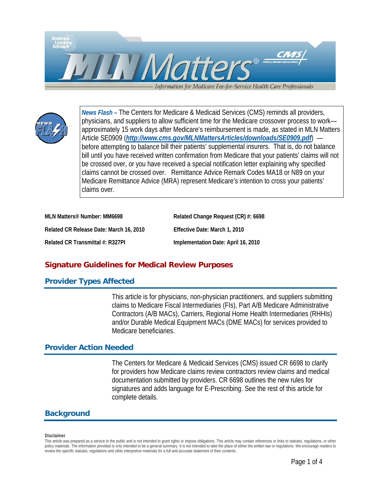



*News Flash –* The Centers for Medicare & Medicaid Services (CMS) reminds all providers, physicians, and suppliers to allow sufficient time for the Medicare crossover process to work approximately 15 work days after Medicare's reimbursement is made, as stated in MLN Matters Article SE0909 (*<http://www.cms.gov/MLNMattersArticles/downloads/SE0909.pdf>*) before attempting to balance bill their patients' supplemental insurers. That is, do not balance bill until you have received written confirmation from Medicare that your patients' claims will not be crossed over, or you have received a special notification letter explaining why specified claims cannot be crossed over. Remittance Advice Remark Codes MA18 or N89 on your Medicare Remittance Advice (MRA) represent Medicare's intention to cross your patients' claims over.

| MLN Matters <sup>®</sup> Number: MM6698 | Related Change Request (CR) #: 6698 |
|-----------------------------------------|-------------------------------------|
| Related CR Release Date: March 16, 2010 | Effective Date: March 1, 2010       |
| Related CR Transmittal #: R327PI        | Implementation Date: April 16, 2010 |

# **Signature Guidelines for Medical Review Purposes**

### **Provider Types Affected**

This article is for physicians, non-physician practitioners, and suppliers submitting claims to Medicare Fiscal Intermediaries (FIs), Part A/B Medicare Administrative Contractors (A/B MACs), Carriers, Regional Home Health Intermediaries (RHHIs) and/or Durable Medical Equipment MACs (DME MACs) for services provided to Medicare beneficiaries.

### **Provider Action Needed**

The Centers for Medicare & Medicaid Services (CMS) issued CR 6698 to clarify for providers how Medicare claims review contractors review claims and medical documentation submitted by providers. CR 6698 outlines the new rules for signatures and adds language for E-Prescribing. See the rest of this article for complete details.

### **Background**

#### **Disclaimer**

This article was prepared as a service to the public and is not intended to grant rights or impose obligations. This article may contain references or links to statutes, regulations, or other policy materials. The information provided is only intended to be a general summary. It is not intended to take the place of either the written law or regulations. We encourage readers to review the specific statutes, regulations and other interpretive materials for a full and accurate statement of their contents.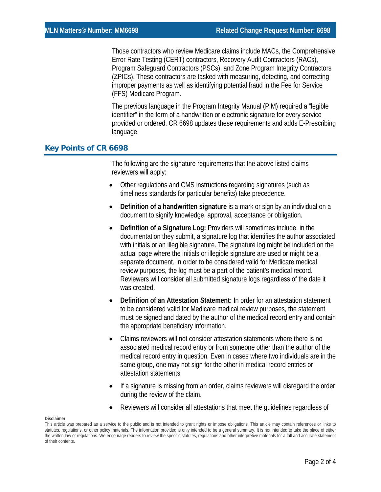Those contractors who review Medicare claims include MACs, the Comprehensive Error Rate Testing (CERT) contractors, Recovery Audit Contractors (RACs), Program Safeguard Contractors (PSCs), and Zone Program Integrity Contractors (ZPICs). These contractors are tasked with measuring, detecting, and correcting improper payments as well as identifying potential fraud in the Fee for Service (FFS) Medicare Program.

The previous language in the Program Integrity Manual (PIM) required a "legible identifier" in the form of a handwritten or electronic signature for every service provided or ordered. CR 6698 updates these requirements and adds E-Prescribing language.

### **Key Points of CR 6698**

The following are the signature requirements that the above listed claims reviewers will apply:

- Other regulations and CMS instructions regarding signatures (such as timeliness standards for particular benefits) take precedence.
- **Definition of a handwritten signature** is a mark or sign by an individual on a document to signify knowledge, approval, acceptance or obligation.
- **Definition of a Signature Log:** Providers will sometimes include, in the documentation they submit, a signature log that identifies the author associated with initials or an illegible signature. The signature log might be included on the actual page where the initials or illegible signature are used or might be a separate document. In order to be considered valid for Medicare medical review purposes, the log must be a part of the patient's medical record. Reviewers will consider all submitted signature logs regardless of the date it was created.
- **Definition of an Attestation Statement:** In order for an attestation statement to be considered valid for Medicare medical review purposes, the statement must be signed and dated by the author of the medical record entry and contain the appropriate beneficiary information.
- Claims reviewers will not consider attestation statements where there is no associated medical record entry or from someone other than the author of the medical record entry in question. Even in cases where two individuals are in the same group, one may not sign for the other in medical record entries or attestation statements.
- If a signature is missing from an order, claims reviewers will disregard the order during the review of the claim.
- Reviewers will consider all attestations that meet the guidelines regardless of

#### **Disclaimer**

This article was prepared as a service to the public and is not intended to grant rights or impose obligations. This article may contain references or links to statutes, regulations, or other policy materials. The information provided is only intended to be a general summary. It is not intended to take the place of either the written law or regulations. We encourage readers to review the specific statutes, regulations and other interpretive materials for a full and accurate statement of their contents.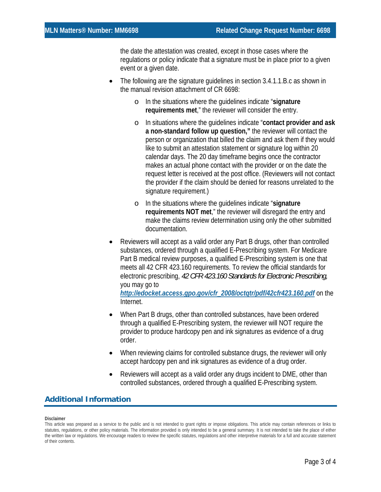the date the attestation was created, except in those cases where the regulations or policy indicate that a signature must be in place prior to a given event or a given date.

- The following are the signature guidelines in section 3.4.1.1.B.c as shown in the manual revision attachment of CR 6698:
	- o In the situations where the guidelines indicate "**signature requirements met**," the reviewer will consider the entry.
	- o In situations where the guidelines indicate "**contact provider and ask a non-standard follow up question,"** the reviewer will contact the person or organization that billed the claim and ask them if they would like to submit an attestation statement or signature log within 20 calendar days. The 20 day timeframe begins once the contractor makes an actual phone contact with the provider or on the date the request letter is received at the post office. (Reviewers will not contact the provider if the claim should be denied for reasons unrelated to the signature requirement.)
	- o In the situations where the guidelines indicate "**signature requirements NOT met**," the reviewer will disregard the entry and make the claims review determination using only the other submitted documentation.
- Reviewers will accept as a valid order any Part B drugs, other than controlled substances, ordered through a qualified E-Prescribing system. For Medicare Part B medical review purposes, a qualified E-Prescribing system is one that meets all 42 CFR 423.160 requirements. To review the official standards for electronic prescribing, *42 CFR 423.160 Standards for Electronic Prescribing,*  you may go to

*[http://edocket.access.gpo.gov/cfr\\_2008/octqtr/pdf/42cfr423.160.pdf](http://edocket.access.gpo.gov/cfr_2008/octqtr/pdf/42cfr423.160.pdf)* on the Internet.

- When Part B drugs, other than controlled substances, have been ordered through a qualified E-Prescribing system, the reviewer will NOT require the provider to produce hardcopy pen and ink signatures as evidence of a drug order.
- When reviewing claims for controlled substance drugs, the reviewer will only accept hardcopy pen and ink signatures as evidence of a drug order.
- Reviewers will accept as a valid order any drugs incident to DME, other than controlled substances, ordered through a qualified E-Prescribing system.

## **Additional Information**

#### **Disclaimer**

This article was prepared as a service to the public and is not intended to grant rights or impose obligations. This article may contain references or links to statutes, regulations, or other policy materials. The information provided is only intended to be a general summary. It is not intended to take the place of either the written law or regulations. We encourage readers to review the specific statutes, regulations and other interpretive materials for a full and accurate statement of their contents.